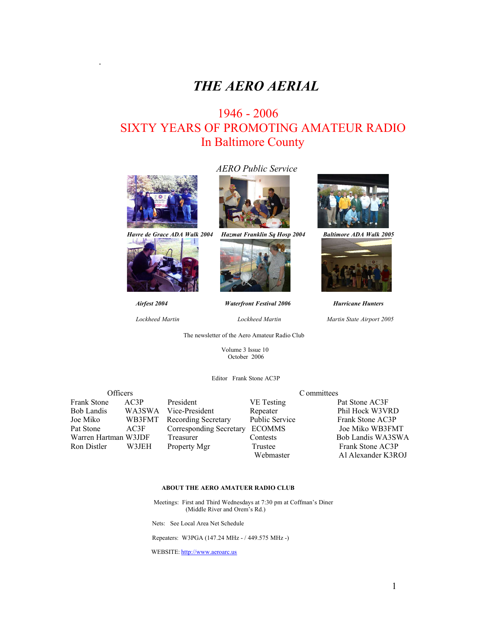# *THE AERO AERIAL*

## 1946 - 2006 SIXTY YEARS OF PROMOTING AMATEUR RADIO In Baltimore County



.



## *AERO Public Service*



*Havre de Grace ADA Walk 2004 Hazmat Franklin Sq Hosp 2004 Baltimore ADA Walk 2005*



*Airfest <sup>2004</sup> Waterfront Festival <sup>2006</sup> Hurricane Hunters*

*Lockheed Martin Lockheed Martin Martin State Airport <sup>2005</sup>*

The newsletter of the Aero Amateur Radio Club

 Volume 3 Issue 10 October 2006

Editor Frank Stone AC3P



#### **ABOUT THE AERO AMATUER RADIO CLUB**

 Meetings: First and Third Wednesdays at 7:30 pm at Coffman's Diner (Middle River and Orem's Rd.)

Nets: See Local Area Net Schedule

Repeaters: W3PGA (147.24 MHz - / 449.575 MHz -)

WEBSITE: http://www.aeroarc.us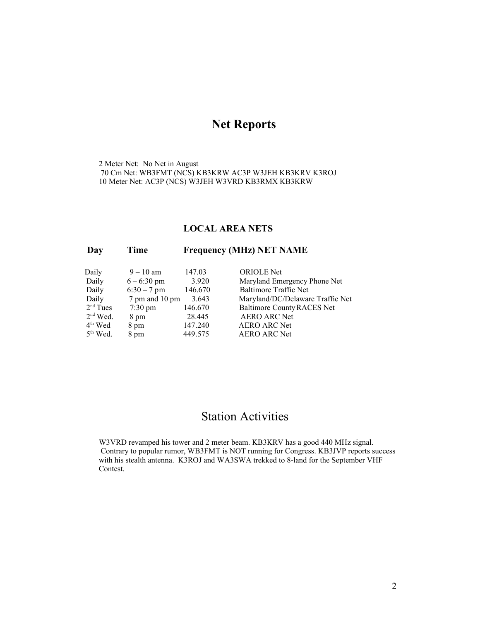## **Net Reports**

2 Meter Net: No Net in August 70 Cm Net: WB3FMT (NCS) KB3KRW AC3P W3JEH KB3KRV K3ROJ 10 Meter Net: AC3P (NCS) W3JEH W3VRD KB3RMX KB3KRW

#### **LOCAL AREA NETS**

#### **Day Time Frequency (MHz) NET NAME**

| Daily      | $9 - 10$ am       | 147.03  | <b>ORIOLE</b> Net                |
|------------|-------------------|---------|----------------------------------|
| Daily      | $6 - 6:30$ pm     | 3.920   | Maryland Emergency Phone Net     |
| Daily      | $6:30 - 7$ pm     | 146.670 | <b>Baltimore Traffic Net</b>     |
| Daily      | 7 pm and 10 pm    | 3.643   | Maryland/DC/Delaware Traffic Net |
| $2nd$ Tues | $7:30 \text{ pm}$ | 146.670 | Baltimore County RACES Net       |
| $2nd$ Wed. | 8 pm              | 28.445  | <b>AERO ARC Net</b>              |
| $4th$ Wed  | 8 pm              | 147.240 | <b>AERO ARC Net</b>              |
| $5th$ Wed. | 8 pm              | 449.575 | <b>AERO ARC Net</b>              |
|            |                   |         |                                  |

## Station Activities

W3VRD revamped his tower and 2 meter beam. KB3KRV has a good 440 MHz signal. Contrary to popular rumor, WB3FMT is NOT running for Congress. KB3JVP reports success with his stealth antenna. K3ROJ and WA3SWA trekked to 8-land for the September VHF Contest.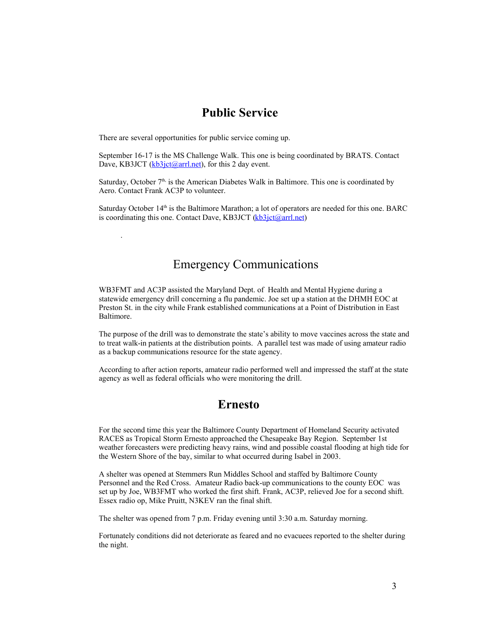### **Public Service**

There are several opportunities for public service coming up.

.

September 16-17 is the MS Challenge Walk. This one is being coordinated by BRATS. Contact Dave, KB3JCT (kb3jct@arrl.net), for this 2 day event.

Saturday, October  $7<sup>th</sup>$ , is the American Diabetes Walk in Baltimore. This one is coordinated by Aero. Contact Frank AC3P to volunteer.

Saturday October 14<sup>th</sup> is the Baltimore Marathon; a lot of operators are needed for this one. BARC is coordinating this one. Contact Dave, KB3JCT (kb3jct@arrl.net)

## Emergency Communications

WB3FMT and AC3P assisted the Maryland Dept. of Health and Mental Hygiene during a statewide emergency drill concerning a flu pandemic. Joe set up a station at the DHMH EOC at Preston St. in the city while Frank established communications at a Point of Distribution in East Baltimore.

The purpose of the drill was to demonstrate the state's ability to move vaccines across the state and to treat walk-in patients at the distribution points. A parallel test was made of using amateur radio as a backup communications resource for the state agency.

According to after action reports, amateur radio performed well and impressed the staff at the state agency as well as federal officials who were monitoring the drill.

### **Ernesto**

For the second time this year the Baltimore County Department of Homeland Security activated RACES as Tropical Storm Ernesto approached the Chesapeake Bay Region. September 1st weather forecasters were predicting heavy rains, wind and possible coastal flooding at high tide for the Western Shore of the bay, similar to what occurred during Isabel in 2003.

A shelter was opened at Stemmers Run Middles School and staffed by Baltimore County Personnel and the Red Cross. Amateur Radio back-up communications to the county EOC was set up by Joe, WB3FMT who worked the first shift. Frank, AC3P, relieved Joe for a second shift. Essex radio op, Mike Pruitt, N3KEV ran the final shift.

The shelter was opened from 7 p.m. Friday evening until 3:30 a.m. Saturday morning.

Fortunately conditions did not deteriorate as feared and no evacuees reported to the shelter during the night.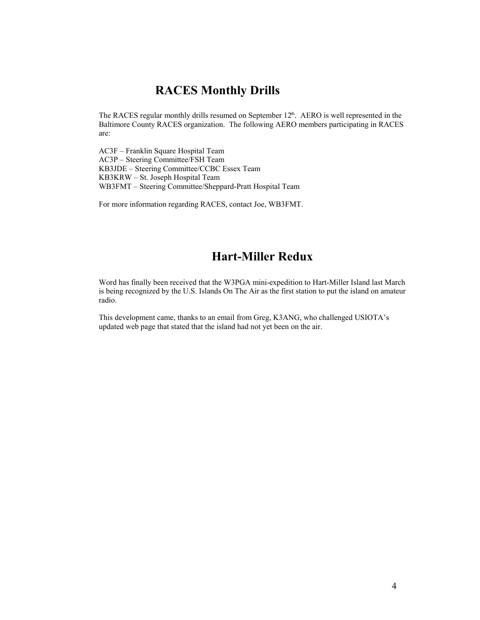### **RACES Monthly Drills**

The RACES regular monthly drills resumed on September  $12<sup>th</sup>$ . AERO is well represented in the Baltimore County RACES organization. The following AERO members participating in RACES are:

AC3F – Franklin Square Hospital Team AC3P – Steering Committee/FSH Team KB3JDE – Steering Committee/CCBC Essex Team KB3KRW – St. Joseph Hospital Team WB3FMT – Steering Committee/Sheppard-Pratt Hospital Team

For more information regarding RACES, contact Joe, WB3FMT.

## **Hart-Miller Redux**

Word has finally been received that the W3PGA mini-expedition to Hart-Miller Island last March is being recognized by the U.S. Islands On The Air as the first station to put the island on amateur radio.

This development came, thanks to an email from Greg, K3ANG, who challenged USIOTA's updated web page that stated that the island had not yet been on the air.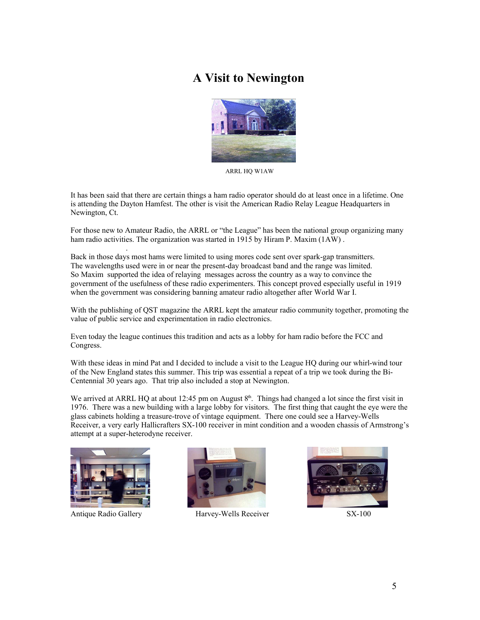## **A Visit to Newington**



ARRL HQ W1AW

It has been said that there are certain things a ham radio operator should do at least once in a lifetime. One is attending the Dayton Hamfest. The other is visit the American Radio Relay League Headquarters in Newington, Ct.

For those new to Amateur Radio, the ARRL or "the League" has been the national group organizing many ham radio activities. The organization was started in 1915 by Hiram P. Maxim (1AW) .

Back in those days most hams were limited to using mores code sent over spark-gap transmitters. The wavelengths used were in or near the present-day broadcast band and the range was limited. So Maxim supported the idea of relaying messages across the country as a way to convince the government of the usefulness of these radio experimenters. This concept proved especially useful in 1919 when the government was considering banning amateur radio altogether after World War I.

With the publishing of QST magazine the ARRL kept the amateur radio community together, promoting the value of public service and experimentation in radio electronics.

Even today the league continues this tradition and acts as a lobby for ham radio before the FCC and Congress.

With these ideas in mind Pat and I decided to include a visit to the League HQ during our whirl-wind tour of the New England states this summer. This trip was essential a repeat of a trip we took during the Bi-Centennial 30 years ago. That trip also included a stop at Newington.

We arrived at ARRL HQ at about 12:45 pm on August  $8<sup>th</sup>$ . Things had changed a lot since the first visit in 1976. There was a new building with a large lobby for visitors. The first thing that caught the eye were the glass cabinets holding a treasure-trove of vintage equipment. There one could see a Harvey-Wells Receiver, a very early Hallicrafters SX-100 receiver in mint condition and a wooden chassis of Armstrong's attempt at a super-heterodyne receiver.



.



Antique Radio Gallery **Harvey-Wells Receiver** SX-100

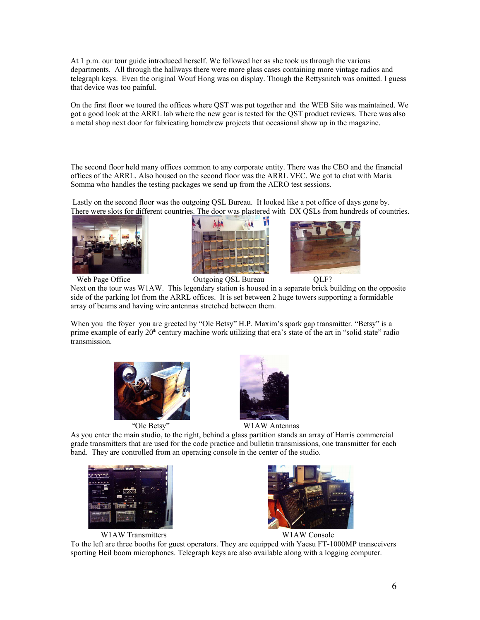At 1 p.m. our tour guide introduced herself. We followed her as she took us through the various departments. All through the hallways there were more glass cases containing more vintage radios and telegraph keys. Even the original Wouf Hong was on display. Though the Rettysnitch was omitted. I guess that device was too painful.

On the first floor we toured the offices where QST was put together and the WEB Site was maintained. We got a good look at the ARRL lab where the new gear is tested for the QST product reviews. There was also a metal shop next door for fabricating homebrew projects that occasional show up in the magazine.

The second floor held many offices common to any corporate entity. There was the CEO and the financial offices of the ARRL. Also housed on the second floor was the ARRL VEC. We got to chat with Maria Somma who handles the testing packages we send up from the AERO test sessions.

Lastly on the second floor was the outgoing QSL Bureau. It looked like a pot office of days gone by. There were slots for different countries. The door was plastered with DX QSLs from hundreds of countries.



Web Page Office **Outgoing QSL Bureau** QLF?





Next on the tour was W1AW. This legendary station is housed in a separate brick building on the opposite side of the parking lot from the ARRL offices. It is set between 2 huge towers supporting a formidable array of beams and having wire antennas stretched between them.

When you the foyer you are greeted by "Ole Betsy" H.P. Maxim's spark gap transmitter. "Betsy" is a prime example of early 20<sup>th</sup> century machine work utilizing that era's state of the art in "solid state" radio transmission.





"Ole Betsy" W1AW Antennas

As you enter the main studio, to the right, behind a glass partition stands an array of Harris commercial grade transmitters that are used for the code practice and bulletin transmissions, one transmitter for each band. They are controlled from an operating console in the center of the studio.



W1AW Transmitters W1AW Console



To the left are three booths for guest operators. They are equipped with Yaesu FT-1000MP transceivers sporting Heil boom microphones. Telegraph keys are also available along with a logging computer.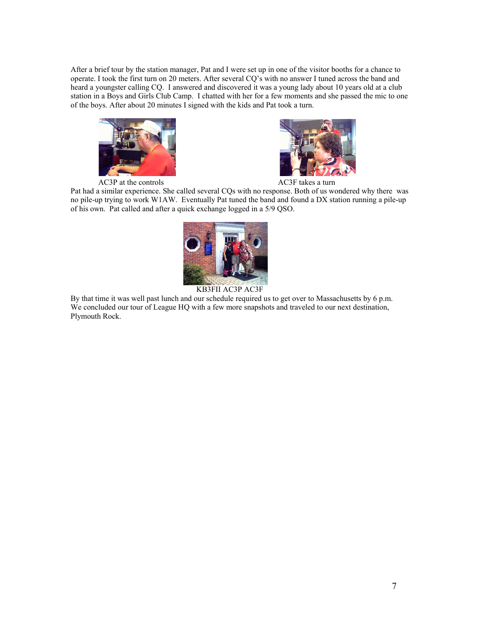After a brief tour by the station manager, Pat and I were set up in one of the visitor booths for a chance to operate. I took the first turn on 20 meters. After several CQ's with no answer I tuned across the band and heard a youngster calling CQ. I answered and discovered it was a young lady about 10 years old at a club station in a Boys and Girls Club Camp. I chatted with her for a few moments and she passed the mic to one of the boys. After about 20 minutes I signed with the kids and Pat took a turn.



AC3P at the controls AC3F takes a turn



Pat had a similar experience. She called several CQs with no response. Both of us wondered why there was no pile-up trying to work W1AW. Eventually Pat tuned the band and found a DX station running a pile-up of his own. Pat called and after a quick exchange logged in a 5/9 QSO.





By that time it was well past lunch and our schedule required us to get over to Massachusetts by 6 p.m. We concluded our tour of League HQ with a few more snapshots and traveled to our next destination, Plymouth Rock.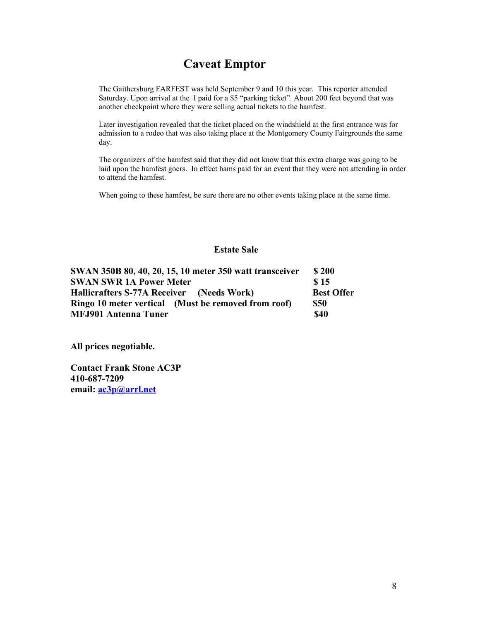## **Caveat Emptor**

The Gaithersburg FARFEST was held September 9 and 10 this year. This reporter attended Saturday. Upon arrival at the I paid for a \$5 "parking ticket". About 200 feet beyond that was another checkpoint where they were selling actual tickets to the hamfest.

Later investigation revealed that the ticket placed on the windshield at the first entrance was for admission to a rodeo that was also taking place at the Montgomery County Fairgrounds the same day.

The organizers of the hamfest said that they did not know that this extra charge was going to be laid upon the hamfest goers. In effect hams paid for an event that they were not attending in order to attend the hamfest.

When going to these hamfest, be sure there are no other events taking place at the same time.

#### **Estate Sale**

| SWAN 350B 80, 40, 20, 15, 10 meter 350 watt transceiver | \$200             |  |
|---------------------------------------------------------|-------------------|--|
| <b>SWAN SWR 1A Power Meter</b>                          | \$15              |  |
| Hallicrafters S-77A Receiver (Needs Work)               | <b>Best Offer</b> |  |
| Ringo 10 meter vertical (Must be removed from roof)     | <b>\$50</b>       |  |
| <b>MFJ901 Antenna Tuner</b>                             | <b>\$40</b>       |  |

**All prices negotiable.**

**Contact Frank Stone AC3P 410-687-7209 email: ac3p@arrl.net**